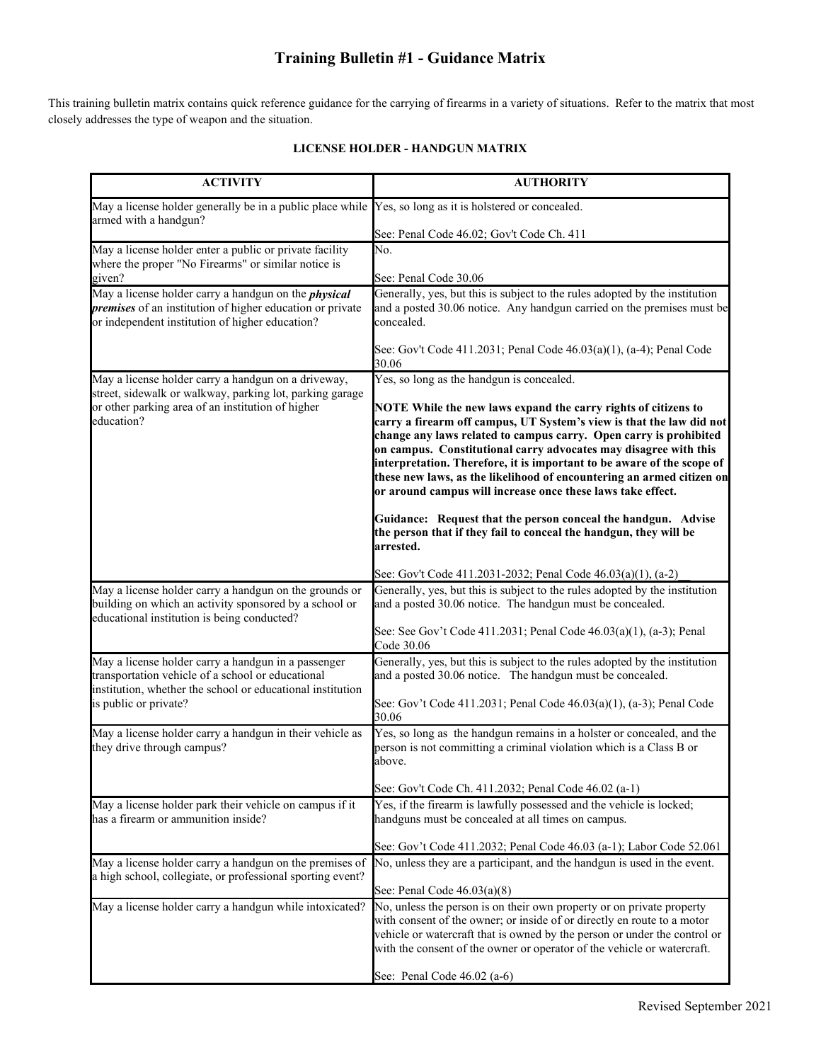### **Training Bulletin #1 - Guidance Matrix**

This training bulletin matrix contains quick reference guidance for the carrying of firearms in a variety of situations. Refer to the matrix that most closely addresses the type of weapon and the situation.

| <b>ACTIVITY</b>                                                                                                                                                                    | <b>AUTHORITY</b>                                                                                                                                                                                                                                                                                                                                                                                                                                                                                  |
|------------------------------------------------------------------------------------------------------------------------------------------------------------------------------------|---------------------------------------------------------------------------------------------------------------------------------------------------------------------------------------------------------------------------------------------------------------------------------------------------------------------------------------------------------------------------------------------------------------------------------------------------------------------------------------------------|
| May a license holder generally be in a public place while Yes, so long as it is holstered or concealed.<br>armed with a handgun?                                                   |                                                                                                                                                                                                                                                                                                                                                                                                                                                                                                   |
|                                                                                                                                                                                    | See: Penal Code 46.02; Gov't Code Ch. 411                                                                                                                                                                                                                                                                                                                                                                                                                                                         |
| May a license holder enter a public or private facility                                                                                                                            | No.                                                                                                                                                                                                                                                                                                                                                                                                                                                                                               |
| where the proper "No Firearms" or similar notice is<br>given?                                                                                                                      | See: Penal Code 30.06                                                                                                                                                                                                                                                                                                                                                                                                                                                                             |
| May a license holder carry a handgun on the <i>physical</i>                                                                                                                        | Generally, yes, but this is subject to the rules adopted by the institution                                                                                                                                                                                                                                                                                                                                                                                                                       |
| premises of an institution of higher education or private<br>or independent institution of higher education?                                                                       | and a posted 30.06 notice. Any handgun carried on the premises must be<br>concealed.                                                                                                                                                                                                                                                                                                                                                                                                              |
|                                                                                                                                                                                    | See: Gov't Code 411.2031; Penal Code 46.03(a)(1), (a-4); Penal Code<br>30.06                                                                                                                                                                                                                                                                                                                                                                                                                      |
| May a license holder carry a handgun on a driveway,<br>street, sidewalk or walkway, parking lot, parking garage<br>or other parking area of an institution of higher<br>education? | Yes, so long as the handgun is concealed.                                                                                                                                                                                                                                                                                                                                                                                                                                                         |
|                                                                                                                                                                                    | NOTE While the new laws expand the carry rights of citizens to<br>carry a firearm off campus, UT System's view is that the law did not<br>change any laws related to campus carry. Open carry is prohibited<br>on campus. Constitutional carry advocates may disagree with this<br>interpretation. Therefore, it is important to be aware of the scope of<br>these new laws, as the likelihood of encountering an armed citizen on<br>or around campus will increase once these laws take effect. |
|                                                                                                                                                                                    | Guidance: Request that the person conceal the handgun. Advise<br>the person that if they fail to conceal the handgun, they will be<br>arrested.                                                                                                                                                                                                                                                                                                                                                   |
|                                                                                                                                                                                    | See: Gov't Code 411.2031-2032; Penal Code 46.03(a)(1), (a-2)                                                                                                                                                                                                                                                                                                                                                                                                                                      |
| May a license holder carry a handgun on the grounds or<br>building on which an activity sponsored by a school or<br>educational institution is being conducted?                    | Generally, yes, but this is subject to the rules adopted by the institution<br>and a posted 30.06 notice. The handgun must be concealed.                                                                                                                                                                                                                                                                                                                                                          |
|                                                                                                                                                                                    | See: See Gov't Code 411.2031; Penal Code 46.03(a)(1), (a-3); Penal<br>Code 30.06                                                                                                                                                                                                                                                                                                                                                                                                                  |
| May a license holder carry a handgun in a passenger<br>transportation vehicle of a school or educational<br>institution, whether the school or educational institution             | Generally, yes, but this is subject to the rules adopted by the institution<br>and a posted 30.06 notice. The handgun must be concealed.                                                                                                                                                                                                                                                                                                                                                          |
| is public or private?                                                                                                                                                              | See: Gov't Code 411.2031; Penal Code 46.03(a)(1), (a-3); Penal Code<br>30.06                                                                                                                                                                                                                                                                                                                                                                                                                      |
| May a license holder carry a handgun in their vehicle as<br>they drive through campus?                                                                                             | Yes, so long as the handgun remains in a holster or concealed, and the<br>person is not committing a criminal violation which is a Class B or<br>above.                                                                                                                                                                                                                                                                                                                                           |
|                                                                                                                                                                                    | See: Gov't Code Ch. 411.2032; Penal Code 46.02 (a-1)                                                                                                                                                                                                                                                                                                                                                                                                                                              |
| May a license holder park their vehicle on campus if it<br>has a firearm or ammunition inside?                                                                                     | Yes, if the firearm is lawfully possessed and the vehicle is locked;<br>handguns must be concealed at all times on campus.                                                                                                                                                                                                                                                                                                                                                                        |
|                                                                                                                                                                                    | See: Gov't Code 411.2032; Penal Code 46.03 (a-1); Labor Code 52.061                                                                                                                                                                                                                                                                                                                                                                                                                               |
| May a license holder carry a handgun on the premises of<br>a high school, collegiate, or professional sporting event?                                                              | No, unless they are a participant, and the handgun is used in the event.                                                                                                                                                                                                                                                                                                                                                                                                                          |
|                                                                                                                                                                                    | See: Penal Code $46.03(a)(8)$<br>No, unless the person is on their own property or on private property                                                                                                                                                                                                                                                                                                                                                                                            |
| May a license holder carry a handgun while intoxicated?                                                                                                                            | with consent of the owner; or inside of or directly en route to a motor<br>vehicle or watercraft that is owned by the person or under the control or                                                                                                                                                                                                                                                                                                                                              |
|                                                                                                                                                                                    | with the consent of the owner or operator of the vehicle or watercraft.                                                                                                                                                                                                                                                                                                                                                                                                                           |
|                                                                                                                                                                                    | See: Penal Code 46.02 (a-6)                                                                                                                                                                                                                                                                                                                                                                                                                                                                       |

#### **LICENSE HOLDER - HANDGUN MATRIX**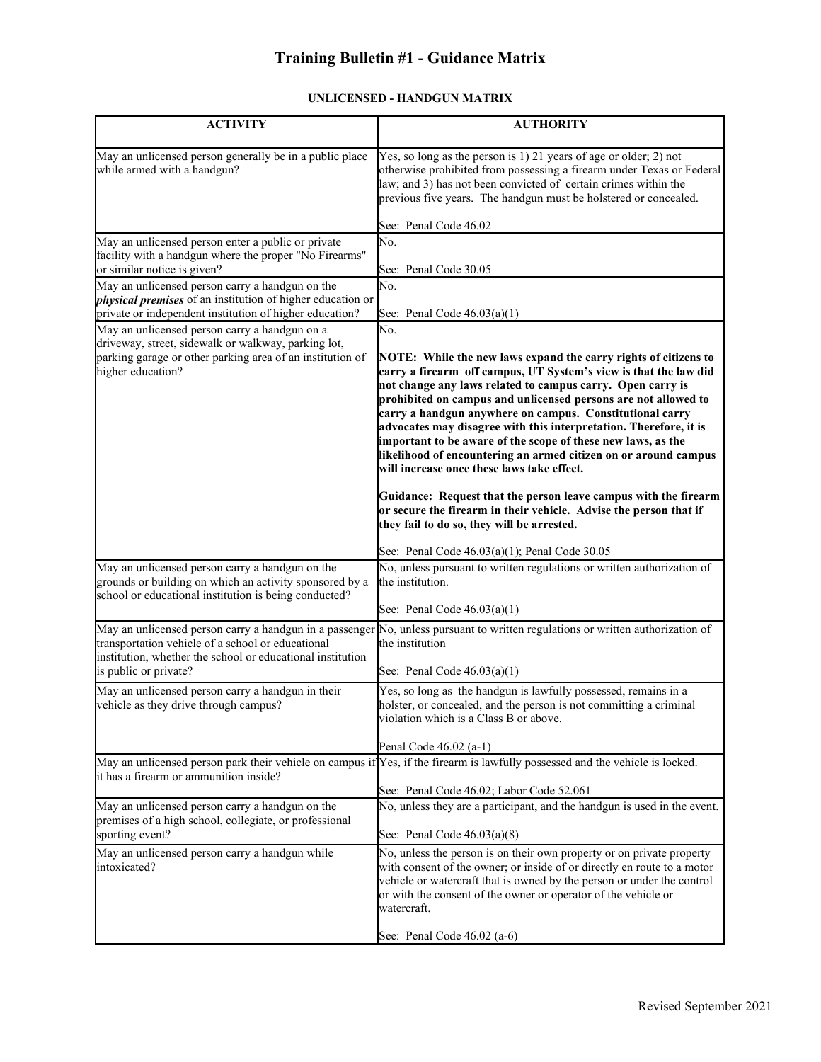# **Training Bulletin #1 - Guidance Matrix**

### **UNLICENSED - HANDGUN MATRIX**

| <b>ACTIVITY</b>                                                                                                                                                            | <b>AUTHORITY</b>                                                                                                                                                                                                                                                                                                                                                                                                                               |
|----------------------------------------------------------------------------------------------------------------------------------------------------------------------------|------------------------------------------------------------------------------------------------------------------------------------------------------------------------------------------------------------------------------------------------------------------------------------------------------------------------------------------------------------------------------------------------------------------------------------------------|
| May an unlicensed person generally be in a public place<br>while armed with a handgun?                                                                                     | Yes, so long as the person is 1) 21 years of age or older; 2) not<br>otherwise prohibited from possessing a firearm under Texas or Federal<br>law; and 3) has not been convicted of certain crimes within the<br>previous five years. The handgun must be holstered or concealed.                                                                                                                                                              |
|                                                                                                                                                                            | See: Penal Code 46.02<br>No.                                                                                                                                                                                                                                                                                                                                                                                                                   |
| May an unlicensed person enter a public or private<br>facility with a handgun where the proper "No Firearms"<br>or similar notice is given?                                | See: Penal Code 30.05                                                                                                                                                                                                                                                                                                                                                                                                                          |
| May an unlicensed person carry a handgun on the                                                                                                                            | No.                                                                                                                                                                                                                                                                                                                                                                                                                                            |
| <i>physical premises</i> of an institution of higher education or<br>private or independent institution of higher education?                                               | See: Penal Code $46.03(a)(1)$                                                                                                                                                                                                                                                                                                                                                                                                                  |
| May an unlicensed person carry a handgun on a                                                                                                                              | No.                                                                                                                                                                                                                                                                                                                                                                                                                                            |
| driveway, street, sidewalk or walkway, parking lot,<br>parking garage or other parking area of an institution of<br>higher education?                                      | NOTE: While the new laws expand the carry rights of citizens to<br>carry a firearm off campus, UT System's view is that the law did                                                                                                                                                                                                                                                                                                            |
|                                                                                                                                                                            | not change any laws related to campus carry. Open carry is<br>prohibited on campus and unlicensed persons are not allowed to<br>carry a handgun anywhere on campus. Constitutional carry<br>advocates may disagree with this interpretation. Therefore, it is<br>important to be aware of the scope of these new laws, as the<br>likelihood of encountering an armed citizen on or around campus<br>will increase once these laws take effect. |
|                                                                                                                                                                            | Guidance: Request that the person leave campus with the firearm<br>or secure the firearm in their vehicle. Advise the person that if<br>they fail to do so, they will be arrested.                                                                                                                                                                                                                                                             |
|                                                                                                                                                                            | See: Penal Code 46.03(a)(1); Penal Code 30.05                                                                                                                                                                                                                                                                                                                                                                                                  |
| May an unlicensed person carry a handgun on the<br>grounds or building on which an activity sponsored by a<br>school or educational institution is being conducted?        | No, unless pursuant to written regulations or written authorization of<br>the institution.                                                                                                                                                                                                                                                                                                                                                     |
|                                                                                                                                                                            | See: Penal Code $46.03(a)(1)$                                                                                                                                                                                                                                                                                                                                                                                                                  |
| May an unlicensed person carry a handgun in a passenger<br>transportation vehicle of a school or educational<br>institution, whether the school or educational institution | No, unless pursuant to written regulations or written authorization of<br>the institution                                                                                                                                                                                                                                                                                                                                                      |
| is public or private?                                                                                                                                                      | See: Penal Code $46.03(a)(1)$                                                                                                                                                                                                                                                                                                                                                                                                                  |
| May an unlicensed person carry a handgun in their<br>vehicle as they drive through campus?                                                                                 | Yes, so long as the handgun is lawfully possessed, remains in a<br>holster, or concealed, and the person is not committing a criminal<br>violation which is a Class B or above.                                                                                                                                                                                                                                                                |
|                                                                                                                                                                            | Penal Code 46.02 (a-1)                                                                                                                                                                                                                                                                                                                                                                                                                         |
| it has a firearm or ammunition inside?                                                                                                                                     | May an unlicensed person park their vehicle on campus if Yes, if the firearm is lawfully possessed and the vehicle is locked.<br>See: Penal Code 46.02; Labor Code 52.061                                                                                                                                                                                                                                                                      |
| May an unlicensed person carry a handgun on the                                                                                                                            | No, unless they are a participant, and the handgun is used in the event.                                                                                                                                                                                                                                                                                                                                                                       |
| premises of a high school, collegiate, or professional<br>sporting event?                                                                                                  | See: Penal Code $46.03(a)(8)$                                                                                                                                                                                                                                                                                                                                                                                                                  |
| May an unlicensed person carry a handgun while<br>intoxicated?                                                                                                             | No, unless the person is on their own property or on private property<br>with consent of the owner; or inside of or directly en route to a motor<br>vehicle or watercraft that is owned by the person or under the control<br>or with the consent of the owner or operator of the vehicle or<br>watercraft.<br>See: Penal Code 46.02 (a-6)                                                                                                     |